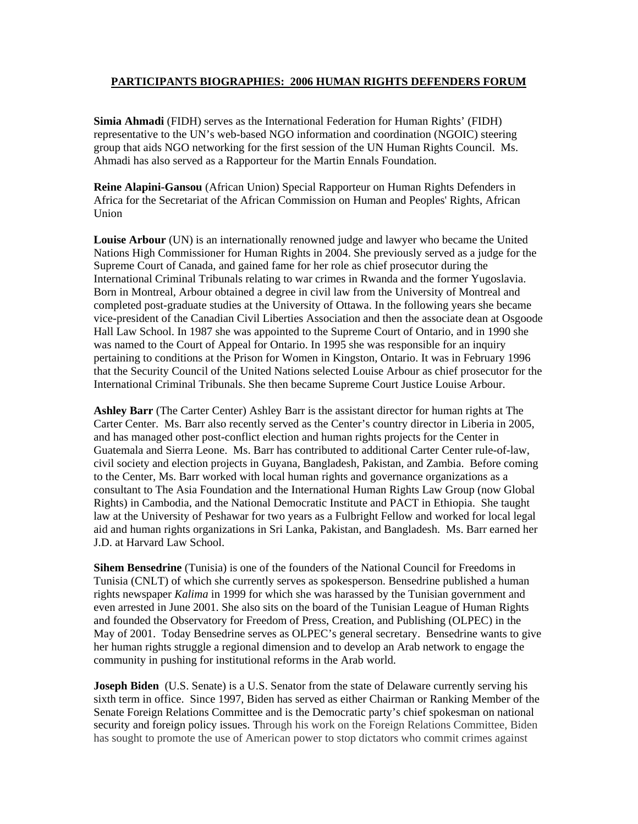## **PARTICIPANTS BIOGRAPHIES: 2006 HUMAN RIGHTS DEFENDERS FORUM**

**Simia Ahmadi** (FIDH) serves as the International Federation for Human Rights' (FIDH) representative to the UN's web-based NGO information and coordination (NGOIC) steering group that aids NGO networking for the first session of the UN Human Rights Council. Ms. Ahmadi has also served as a Rapporteur for the Martin Ennals Foundation.

**Reine Alapini-Gansou** (African Union) Special Rapporteur on Human Rights Defenders in Africa for the Secretariat of the African Commission on Human and Peoples' Rights, African Union

**Louise Arbour** (UN) is an internationally renowned judge and lawyer who became the United Nations High Commissioner for Human Rights in 2004. She previously served as a judge for the Supreme Court of Canada, and gained fame for her role as chief prosecutor during the International Criminal Tribunals relating to war crimes in Rwanda and the former Yugoslavia. Born in Montreal, Arbour obtained a degree in civil law from the University of Montreal and completed post-graduate studies at the University of Ottawa. In the following years she became vice-president of the Canadian Civil Liberties Association and then the associate dean at Osgoode Hall Law School. In 1987 she was appointed to the Supreme Court of Ontario, and in 1990 she was named to the Court of Appeal for Ontario. In 1995 she was responsible for an inquiry pertaining to conditions at the Prison for Women in Kingston, Ontario. It was in February 1996 that the Security Council of the United Nations selected Louise Arbour as chief prosecutor for the International Criminal Tribunals. She then became Supreme Court Justice Louise Arbour.

**Ashley Barr** (The Carter Center) Ashley Barr is the assistant director for human rights at The Carter Center. Ms. Barr also recently served as the Center's country director in Liberia in 2005, and has managed other post-conflict election and human rights projects for the Center in Guatemala and Sierra Leone. Ms. Barr has contributed to additional Carter Center rule-of-law, civil society and election projects in Guyana, Bangladesh, Pakistan, and Zambia. Before coming to the Center, Ms. Barr worked with local human rights and governance organizations as a consultant to The Asia Foundation and the International Human Rights Law Group (now Global Rights) in Cambodia, and the National Democratic Institute and PACT in Ethiopia. She taught law at the University of Peshawar for two years as a Fulbright Fellow and worked for local legal aid and human rights organizations in Sri Lanka, Pakistan, and Bangladesh. Ms. Barr earned her J.D. at Harvard Law School.

**Sihem Bensedrine** (Tunisia) is one of the founders of the National Council for Freedoms in Tunisia (CNLT) of which she currently serves as spokesperson. Bensedrine published a human rights newspaper *Kalima* in 1999 for which she was harassed by the Tunisian government and even arrested in June 2001. She also sits on the board of the Tunisian League of Human Rights and founded the Observatory for Freedom of Press, Creation, and Publishing (OLPEC) in the May of 2001. Today Bensedrine serves as OLPEC's general secretary. Bensedrine wants to give her human rights struggle a regional dimension and to develop an Arab network to engage the community in pushing for institutional reforms in the Arab world.

**Joseph Biden** (U.S. Senate) is a U.S. Senator from the state of Delaware currently serving his sixth term in office. Since 1997, Biden has served as either Chairman or Ranking Member of the Senate Foreign Relations Committee and is the Democratic party's chief spokesman on national security and foreign policy issues. Through his work on the Foreign Relations Committee, Biden has sought to promote the use of American power to stop dictators who commit crimes against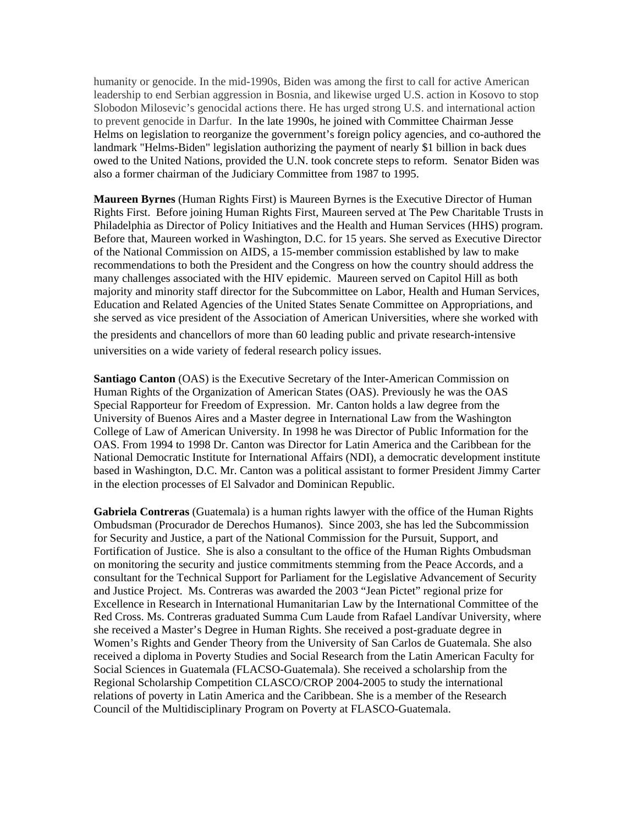humanity or genocide. In the mid-1990s, Biden was among the first to call for active American leadership to end Serbian aggression in Bosnia, and likewise urged U.S. action in Kosovo to stop Slobodon Milosevic's genocidal actions there. He has urged strong U.S. and international action to prevent genocide in Darfur. In the late 1990s, he joined with Committee Chairman Jesse Helms on legislation to reorganize the government's foreign policy agencies, and co-authored the landmark "Helms-Biden" legislation authorizing the payment of nearly \$1 billion in back dues owed to the United Nations, provided the U.N. took concrete steps to reform. Senator Biden was also a former chairman of the Judiciary Committee from 1987 to 1995.

**Maureen Byrnes** (Human Rights First) is Maureen Byrnes is the Executive Director of Human Rights First. Before joining Human Rights First, Maureen served at The Pew Charitable Trusts in Philadelphia as Director of Policy Initiatives and the Health and Human Services (HHS) program. Before that, Maureen worked in Washington, D.C. for 15 years. She served as Executive Director of the National Commission on AIDS, a 15-member commission established by law to make recommendations to both the President and the Congress on how the country should address the many challenges associated with the HIV epidemic. Maureen served on Capitol Hill as both majority and minority staff director for the Subcommittee on Labor, Health and Human Services, Education and Related Agencies of the United States Senate Committee on Appropriations, and she served as vice president of the Association of American Universities, where she worked with the presidents and chancellors of more than 60 leading public and private research‑intensive universities on a wide variety of federal research policy issues.

**Santiago Canton** (OAS) is the Executive Secretary of the Inter-American Commission on Human Rights of the Organization of American States (OAS). Previously he was the OAS Special Rapporteur for Freedom of Expression. Mr. Canton holds a law degree from the University of Buenos Aires and a Master degree in International Law from the Washington College of Law of American University. In 1998 he was Director of Public Information for the OAS. From 1994 to 1998 Dr. Canton was Director for Latin America and the Caribbean for the National Democratic Institute for International Affairs (NDI), a democratic development institute based in Washington, D.C. Mr. Canton was a political assistant to former President Jimmy Carter in the election processes of El Salvador and Dominican Republic.

**Gabriela Contreras** (Guatemala) is a human rights lawyer with the office of the Human Rights Ombudsman (Procurador de Derechos Humanos). Since 2003, she has led the Subcommission for Security and Justice, a part of the National Commission for the Pursuit, Support, and Fortification of Justice. She is also a consultant to the office of the Human Rights Ombudsman on monitoring the security and justice commitments stemming from the Peace Accords, and a consultant for the Technical Support for Parliament for the Legislative Advancement of Security and Justice Project. Ms. Contreras was awarded the 2003 "Jean Pictet" regional prize for Excellence in Research in International Humanitarian Law by the International Committee of the Red Cross. Ms. Contreras graduated Summa Cum Laude from Rafael Landívar University, where she received a Master's Degree in Human Rights. She received a post-graduate degree in Women's Rights and Gender Theory from the University of San Carlos de Guatemala. She also received a diploma in Poverty Studies and Social Research from the Latin American Faculty for Social Sciences in Guatemala (FLACSO-Guatemala). She received a scholarship from the Regional Scholarship Competition CLASCO/CROP 2004-2005 to study the international relations of poverty in Latin America and the Caribbean. She is a member of the Research Council of the Multidisciplinary Program on Poverty at FLASCO-Guatemala.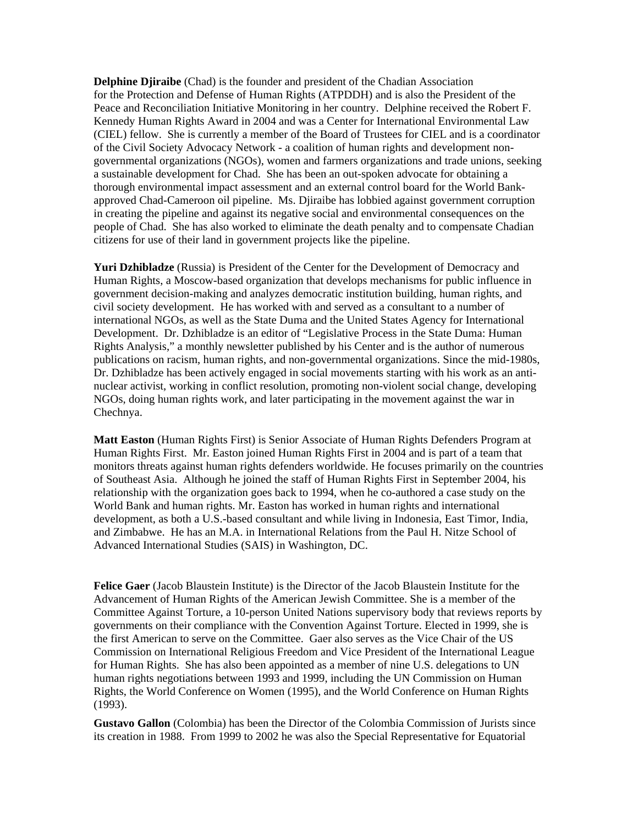**Delphine Djiraibe** (Chad) is the founder and president of the Chadian Association for the Protection and Defense of Human Rights (ATPDDH) and is also the President of the Peace and Reconciliation Initiative Monitoring in her country. Delphine received the Robert F. Kennedy Human Rights Award in 2004 and was a Center for International Environmental Law (CIEL) fellow. She is currently a member of the Board of Trustees for CIEL and is a coordinator of the Civil Society Advocacy Network - a coalition of human rights and development nongovernmental organizations (NGOs), women and farmers organizations and trade unions, seeking a sustainable development for Chad. She has been an out-spoken advocate for obtaining a thorough environmental impact assessment and an external control board for the World Bankapproved Chad-Cameroon oil pipeline. Ms. Djiraibe has lobbied against government corruption in creating the pipeline and against its negative social and environmental consequences on the people of Chad. She has also worked to eliminate the death penalty and to compensate Chadian citizens for use of their land in government projects like the pipeline.

**Yuri Dzhibladze** (Russia) is President of the Center for the Development of Democracy and Human Rights, a Moscow-based organization that develops mechanisms for public influence in government decision-making and analyzes democratic institution building, human rights, and civil society development. He has worked with and served as a consultant to a number of international NGOs, as well as the State Duma and the United States Agency for International Development. Dr. Dzhibladze is an editor of "Legislative Process in the State Duma: Human Rights Analysis," a monthly newsletter published by his Center and is the author of numerous publications on racism, human rights, and non-governmental organizations. Since the mid-1980s, Dr. Dzhibladze has been actively engaged in social movements starting with his work as an antinuclear activist, working in conflict resolution, promoting non-violent social change, developing NGOs, doing human rights work, and later participating in the movement against the war in Chechnya.

**Matt Easton** (Human Rights First) is Senior Associate of Human Rights Defenders Program at Human Rights First. Mr. Easton joined Human Rights First in 2004 and is part of a team that monitors threats against human rights defenders worldwide. He focuses primarily on the countries of Southeast Asia. Although he joined the staff of Human Rights First in September 2004, his relationship with the organization goes back to 1994, when he co-authored a case study on the World Bank and human rights. Mr. Easton has worked in human rights and international development, as both a U.S.-based consultant and while living in Indonesia, East Timor, India, and Zimbabwe. He has an M.A. in International Relations from the Paul H. Nitze School of Advanced International Studies (SAIS) in Washington, DC.

**Felice Gaer** (Jacob Blaustein Institute) is the Director of the Jacob Blaustein Institute for the Advancement of Human Rights of the American Jewish Committee. She is a member of the Committee Against Torture, a 10-person United Nations supervisory body that reviews reports by governments on their compliance with the Convention Against Torture. Elected in 1999, she is the first American to serve on the Committee. Gaer also serves as the Vice Chair of the US Commission on International Religious Freedom and Vice President of the International League for Human Rights. She has also been appointed as a member of nine U.S. delegations to UN human rights negotiations between 1993 and 1999, including the UN Commission on Human Rights, the World Conference on Women (1995), and the World Conference on Human Rights (1993).

**Gustavo Gallon** (Colombia) has been the Director of the Colombia Commission of Jurists since its creation in 1988. From 1999 to 2002 he was also the Special Representative for Equatorial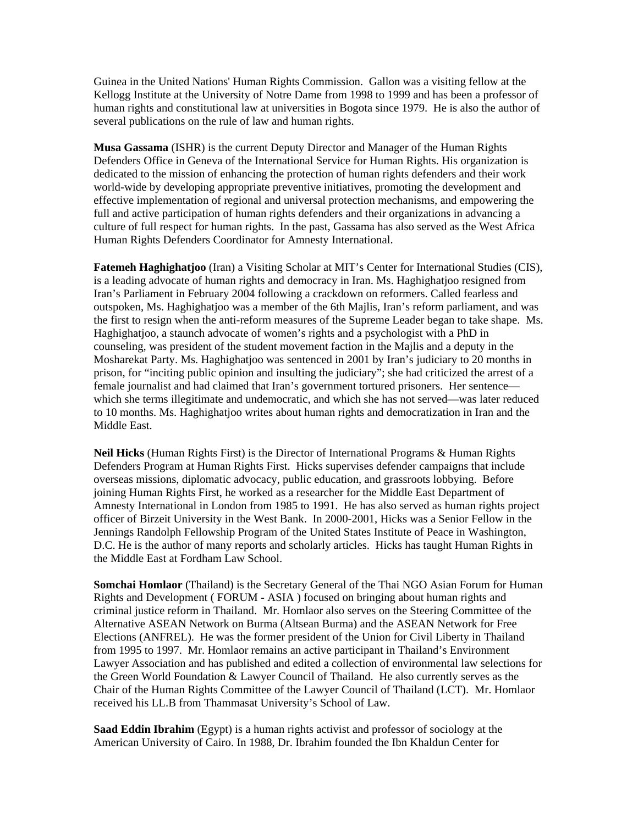Guinea in the United Nations' Human Rights Commission. Gallon was a visiting fellow at the Kellogg Institute at the University of Notre Dame from 1998 to 1999 and has been a professor of human rights and constitutional law at universities in Bogota since 1979. He is also the author of several publications on the rule of law and human rights.

**Musa Gassama** (ISHR) is the current Deputy Director and Manager of the Human Rights Defenders Office in Geneva of the International Service for Human Rights. His organization is dedicated to the mission of enhancing the protection of human rights defenders and their work world-wide by developing appropriate preventive initiatives, promoting the development and effective implementation of regional and universal protection mechanisms, and empowering the full and active participation of human rights defenders and their organizations in advancing a culture of full respect for human rights. In the past, Gassama has also served as the West Africa Human Rights Defenders Coordinator for Amnesty International.

**Fatemeh Haghighatjoo** (Iran) a Visiting Scholar at MIT's Center for International Studies (CIS), is a leading advocate of human rights and democracy in Iran. Ms. Haghighatjoo resigned from Iran's Parliament in February 2004 following a crackdown on reformers. Called fearless and outspoken, Ms. Haghighatjoo was a member of the 6th Majlis, Iran's reform parliament, and was the first to resign when the anti-reform measures of the Supreme Leader began to take shape. Ms. Haghighatjoo, a staunch advocate of women's rights and a psychologist with a PhD in counseling, was president of the student movement faction in the Majlis and a deputy in the Mosharekat Party. Ms. Haghighatjoo was sentenced in 2001 by Iran's judiciary to 20 months in prison, for "inciting public opinion and insulting the judiciary"; she had criticized the arrest of a female journalist and had claimed that Iran's government tortured prisoners. Her sentence which she terms illegitimate and undemocratic, and which she has not served—was later reduced to 10 months. Ms. Haghighatjoo writes about human rights and democratization in Iran and the Middle East.

**Neil Hicks** (Human Rights First) is the Director of International Programs & Human Rights Defenders Program at Human Rights First. Hicks supervises defender campaigns that include overseas missions, diplomatic advocacy, public education, and grassroots lobbying. Before joining Human Rights First, he worked as a researcher for the Middle East Department of Amnesty International in London from 1985 to 1991. He has also served as human rights project officer of Birzeit University in the West Bank. In 2000-2001, Hicks was a Senior Fellow in the Jennings Randolph Fellowship Program of the United States Institute of Peace in Washington, D.C. He is the author of many reports and scholarly articles. Hicks has taught Human Rights in the Middle East at Fordham Law School.

**Somchai Homlaor** (Thailand) is the Secretary General of the Thai NGO Asian Forum for Human Rights and Development ( FORUM - ASIA ) focused on bringing about human rights and criminal justice reform in Thailand. Mr. Homlaor also serves on the Steering Committee of the Alternative ASEAN Network on Burma (Altsean Burma) and the ASEAN Network for Free Elections (ANFREL). He was the former president of the Union for Civil Liberty in Thailand from 1995 to 1997. Mr. Homlaor remains an active participant in Thailand's Environment Lawyer Association and has published and edited a collection of environmental law selections for the Green World Foundation & Lawyer Council of Thailand. He also currently serves as the Chair of the Human Rights Committee of the Lawyer Council of Thailand (LCT). Mr. Homlaor received his LL.B from Thammasat University's School of Law.

**Saad Eddin Ibrahim** (Egypt) is a human rights activist and professor of sociology at the American University of Cairo. In 1988, Dr. Ibrahim founded the Ibn Khaldun Center for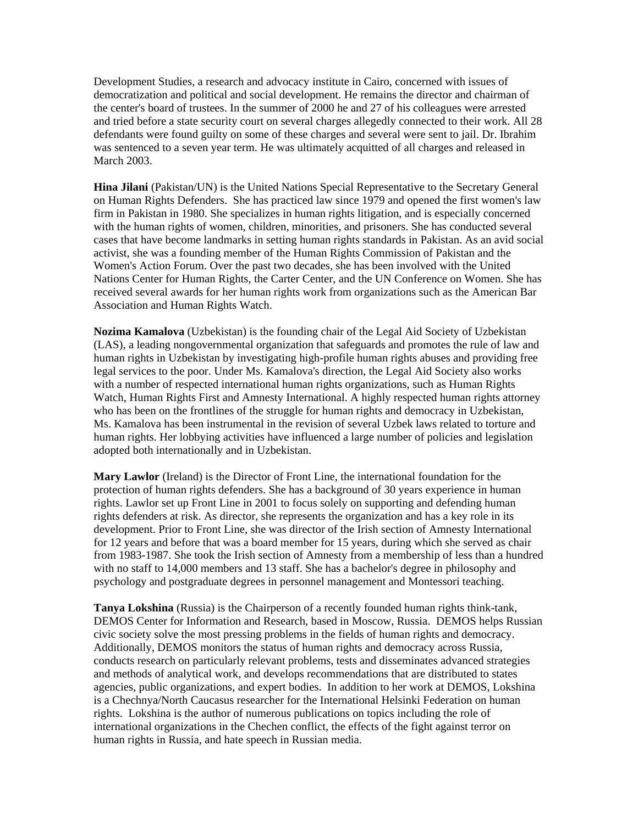Development Studies, a research and advocacy institute in Cairo, concerned with issues of democratization and political and social development. He remains the director and chairman of the center's board of trustees. In the summer of 2000 he and 27 of his colleagues were arrested and tried before a state security court on several charges allegedly connected to their work. All 28 defendants were found guilty on some of these charges and several were sent to jail. Dr. Ibrahim was sentenced to a seven year term. He was ultimately acquitted of all charges and released in March 2003.

**Hina Jilani** (Pakistan/UN) is the United Nations Special Representative to the Secretary General on Human Rights Defenders. She has practiced law since 1979 and opened the first women's law firm in Pakistan in 1980. She specializes in human rights litigation, and is especially concerned with the human rights of women, children, minorities, and prisoners. She has conducted several cases that have become landmarks in setting human rights standards in Pakistan. As an avid social activist, she was a founding member of the Human Rights Commission of Pakistan and the Women's Action Forum. Over the past two decades, she has been involved with the United Nations Center for Human Rights, the Carter Center, and the UN Conference on Women. She has received several awards for her human rights work from organizations such as the American Bar Association and Human Rights Watch.

**Nozima Kamalova** (Uzbekistan) is the founding chair of the Legal Aid Society of Uzbekistan (LAS), a leading nongovernmental organization that safeguards and promotes the rule of law and human rights in Uzbekistan by investigating high-profile human rights abuses and providing free legal services to the poor. Under Ms. Kamalova's direction, the Legal Aid Society also works with a number of respected international human rights organizations, such as Human Rights Watch, Human Rights First and Amnesty International. A highly respected human rights attorney who has been on the frontlines of the struggle for human rights and democracy in Uzbekistan, Ms. Kamalova has been instrumental in the revision of several Uzbek laws related to torture and human rights. Her lobbying activities have influenced a large number of policies and legislation adopted both internationally and in Uzbekistan.

**Mary Lawlor** (Ireland) is the Director of Front Line, the international foundation for the protection of human rights defenders. She has a background of 30 years experience in human rights. Lawlor set up Front Line in 2001 to focus solely on supporting and defending human rights defenders at risk. As director, she represents the organization and has a key role in its development. Prior to Front Line, she was director of the Irish section of Amnesty International for 12 years and before that was a board member for 15 years, during which she served as chair from 1983-1987. She took the Irish section of Amnesty from a membership of less than a hundred with no staff to 14,000 members and 13 staff. She has a bachelor's degree in philosophy and psychology and postgraduate degrees in personnel management and Montessori teaching.

**Tanya Lokshina** (Russia) is the Chairperson of a recently founded human rights think-tank, DEMOS Center for Information and Research, based in Moscow, Russia. DEMOS helps Russian civic society solve the most pressing problems in the fields of human rights and democracy. Additionally, DEMOS monitors the status of human rights and democracy across Russia, conducts research on particularly relevant problems, tests and disseminates advanced strategies and methods of analytical work, and develops recommendations that are distributed to states agencies, public organizations, and expert bodies. In addition to her work at DEMOS, Lokshina is a Chechnya/North Caucasus researcher for the International Helsinki Federation on human rights. Lokshina is the author of numerous publications on topics including the role of international organizations in the Chechen conflict, the effects of the fight against terror on human rights in Russia, and hate speech in Russian media.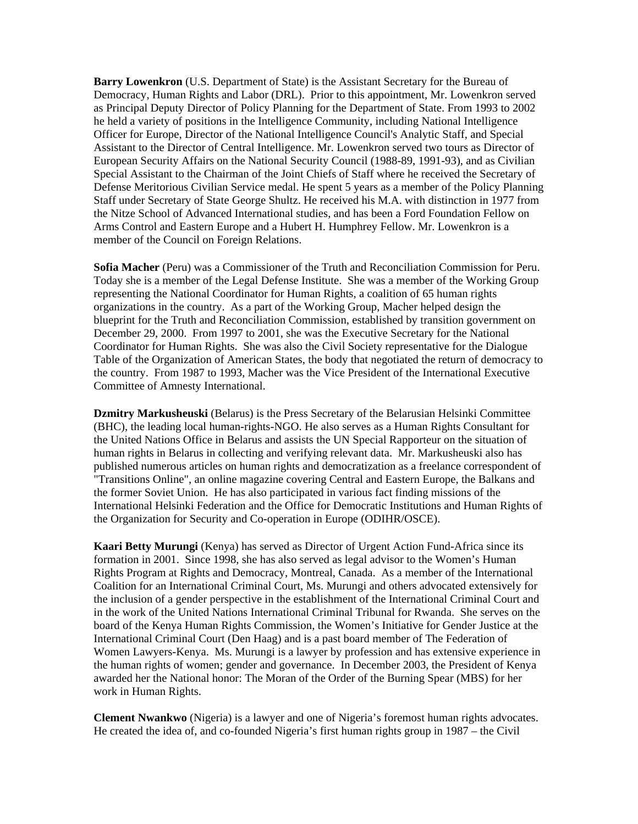**Barry Lowenkron** (U.S. Department of State) is the Assistant Secretary for the Bureau of Democracy, Human Rights and Labor (DRL). Prior to this appointment, Mr. Lowenkron served as Principal Deputy Director of Policy Planning for the Department of State. From 1993 to 2002 he held a variety of positions in the Intelligence Community, including National Intelligence Officer for Europe, Director of the National Intelligence Council's Analytic Staff, and Special Assistant to the Director of Central Intelligence. Mr. Lowenkron served two tours as Director of European Security Affairs on the National Security Council (1988-89, 1991-93), and as Civilian Special Assistant to the Chairman of the Joint Chiefs of Staff where he received the Secretary of Defense Meritorious Civilian Service medal. He spent 5 years as a member of the Policy Planning Staff under Secretary of State George Shultz. He received his M.A. with distinction in 1977 from the Nitze School of Advanced International studies, and has been a Ford Foundation Fellow on Arms Control and Eastern Europe and a Hubert H. Humphrey Fellow. Mr. Lowenkron is a member of the Council on Foreign Relations.

**Sofia Macher** (Peru) was a Commissioner of the Truth and Reconciliation Commission for Peru. Today she is a member of the Legal Defense Institute. She was a member of the Working Group representing the National Coordinator for Human Rights, a coalition of 65 human rights organizations in the country. As a part of the Working Group, Macher helped design the blueprint for the Truth and Reconciliation Commission, established by transition government on December 29, 2000. From 1997 to 2001, she was the Executive Secretary for the National Coordinator for Human Rights. She was also the Civil Society representative for the Dialogue Table of the Organization of American States, the body that negotiated the return of democracy to the country. From 1987 to 1993, Macher was the Vice President of the International Executive Committee of Amnesty International.

**Dzmitry Markusheuski** (Belarus) is the Press Secretary of the Belarusian Helsinki Committee (BHC), the leading local human-rights-NGO. He also serves as a Human Rights Consultant for the United Nations Office in Belarus and assists the UN Special Rapporteur on the situation of human rights in Belarus in collecting and verifying relevant data. Mr. Markusheuski also has published numerous articles on human rights and democratization as a freelance correspondent of "Transitions Online", an online magazine covering Central and Eastern Europe, the Balkans and the former Soviet Union. He has also participated in various fact finding missions of the International Helsinki Federation and the Office for Democratic Institutions and Human Rights of the Organization for Security and Co-operation in Europe (ODIHR/OSCE).

**Kaari Betty Murungi** (Kenya) has served as Director of Urgent Action Fund-Africa since its formation in 2001. Since 1998, she has also served as legal advisor to the Women's Human Rights Program at Rights and Democracy, Montreal, Canada. As a member of the International Coalition for an International Criminal Court, Ms. Murungi and others advocated extensively for the inclusion of a gender perspective in the establishment of the International Criminal Court and in the work of the United Nations International Criminal Tribunal for Rwanda. She serves on the board of the Kenya Human Rights Commission, the Women's Initiative for Gender Justice at the International Criminal Court (Den Haag) and is a past board member of The Federation of Women Lawyers-Kenya. Ms. Murungi is a lawyer by profession and has extensive experience in the human rights of women; gender and governance. In December 2003, the President of Kenya awarded her the National honor: The Moran of the Order of the Burning Spear (MBS) for her work in Human Rights.

**Clement Nwankwo** (Nigeria) is a lawyer and one of Nigeria's foremost human rights advocates. He created the idea of, and co-founded Nigeria's first human rights group in 1987 – the Civil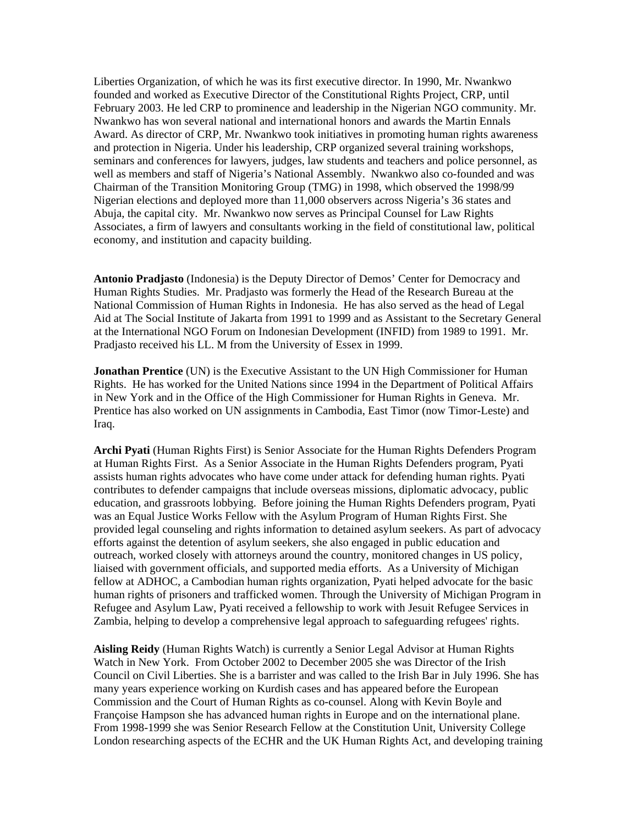Liberties Organization, of which he was its first executive director. In 1990, Mr. Nwankwo founded and worked as Executive Director of the Constitutional Rights Project, CRP, until February 2003. He led CRP to prominence and leadership in the Nigerian NGO community. Mr. Nwankwo has won several national and international honors and awards the Martin Ennals Award. As director of CRP, Mr. Nwankwo took initiatives in promoting human rights awareness and protection in Nigeria. Under his leadership, CRP organized several training workshops, seminars and conferences for lawyers, judges, law students and teachers and police personnel, as well as members and staff of Nigeria's National Assembly. Nwankwo also co-founded and was Chairman of the Transition Monitoring Group (TMG) in 1998, which observed the 1998/99 Nigerian elections and deployed more than 11,000 observers across Nigeria's 36 states and Abuja, the capital city. Mr. Nwankwo now serves as Principal Counsel for Law Rights Associates, a firm of lawyers and consultants working in the field of constitutional law, political economy, and institution and capacity building.

**Antonio Pradjasto** (Indonesia) is the Deputy Director of Demos' Center for Democracy and Human Rights Studies. Mr. Pradjasto was formerly the Head of the Research Bureau at the National Commission of Human Rights in Indonesia. He has also served as the head of Legal Aid at The Social Institute of Jakarta from 1991 to 1999 and as Assistant to the Secretary General at the International NGO Forum on Indonesian Development (INFID) from 1989 to 1991. Mr. Pradjasto received his LL. M from the University of Essex in 1999.

**Jonathan Prentice** (UN) is the Executive Assistant to the UN High Commissioner for Human Rights. He has worked for the United Nations since 1994 in the Department of Political Affairs in New York and in the Office of the High Commissioner for Human Rights in Geneva. Mr. Prentice has also worked on UN assignments in Cambodia, East Timor (now Timor-Leste) and Iraq.

**Archi Pyati** (Human Rights First) is Senior Associate for the Human Rights Defenders Program at Human Rights First. As a Senior Associate in the Human Rights Defenders program, Pyati assists human rights advocates who have come under attack for defending human rights. Pyati contributes to defender campaigns that include overseas missions, diplomatic advocacy, public education, and grassroots lobbying. Before joining the Human Rights Defenders program, Pyati was an Equal Justice Works Fellow with the Asylum Program of Human Rights First. She provided legal counseling and rights information to detained asylum seekers. As part of advocacy efforts against the detention of asylum seekers, she also engaged in public education and outreach, worked closely with attorneys around the country, monitored changes in US policy, liaised with government officials, and supported media efforts. As a University of Michigan fellow at ADHOC, a Cambodian human rights organization, Pyati helped advocate for the basic human rights of prisoners and trafficked women. Through the University of Michigan Program in Refugee and Asylum Law, Pyati received a fellowship to work with Jesuit Refugee Services in Zambia, helping to develop a comprehensive legal approach to safeguarding refugees' rights.

**Aisling Reidy** (Human Rights Watch) is currently a Senior Legal Advisor at Human Rights Watch in New York. From October 2002 to December 2005 she was Director of the Irish Council on Civil Liberties. She is a barrister and was called to the Irish Bar in July 1996. She has many years experience working on Kurdish cases and has appeared before the European Commission and the Court of Human Rights as co-counsel. Along with Kevin Boyle and Françoise Hampson she has advanced human rights in Europe and on the international plane. From 1998-1999 she was Senior Research Fellow at the Constitution Unit, University College London researching aspects of the ECHR and the UK Human Rights Act, and developing training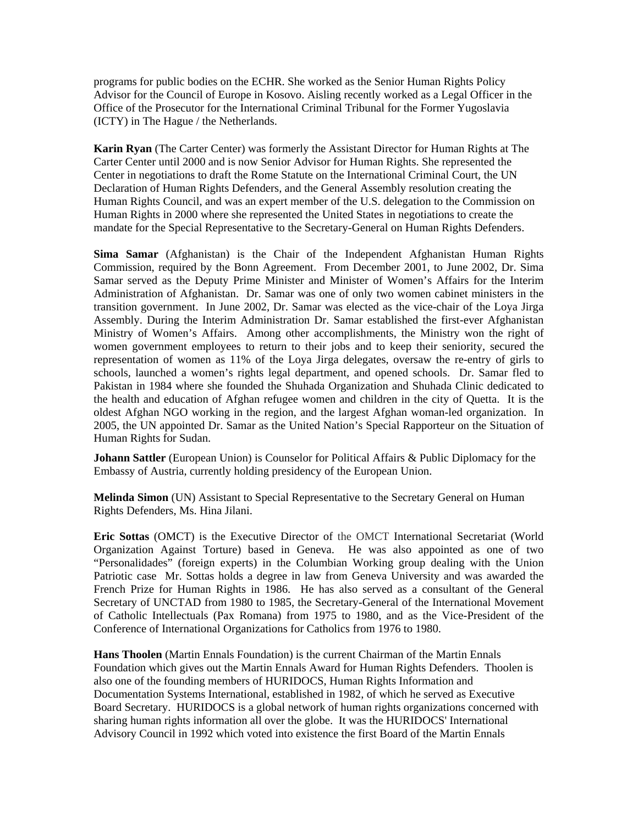programs for public bodies on the ECHR. She worked as the Senior Human Rights Policy Advisor for the Council of Europe in Kosovo. Aisling recently worked as a Legal Officer in the Office of the Prosecutor for the International Criminal Tribunal for the Former Yugoslavia (ICTY) in The Hague / the Netherlands.

**Karin Ryan** (The Carter Center) was formerly the Assistant Director for Human Rights at The Carter Center until 2000 and is now Senior Advisor for Human Rights. She represented the Center in negotiations to draft the Rome Statute on the International Criminal Court, the UN Declaration of Human Rights Defenders, and the General Assembly resolution creating the Human Rights Council, and was an expert member of the U.S. delegation to the Commission on Human Rights in 2000 where she represented the United States in negotiations to create the mandate for the Special Representative to the Secretary-General on Human Rights Defenders.

**Sima Samar** (Afghanistan) is the Chair of the Independent Afghanistan Human Rights Commission, required by the Bonn Agreement. From December 2001, to June 2002, Dr. Sima Samar served as the Deputy Prime Minister and Minister of Women's Affairs for the Interim Administration of Afghanistan. Dr. Samar was one of only two women cabinet ministers in the transition government. In June 2002, Dr. Samar was elected as the vice-chair of the Loya Jirga Assembly. During the Interim Administration Dr. Samar established the first-ever Afghanistan Ministry of Women's Affairs. Among other accomplishments, the Ministry won the right of women government employees to return to their jobs and to keep their seniority, secured the representation of women as 11% of the Loya Jirga delegates, oversaw the re-entry of girls to schools, launched a women's rights legal department, and opened schools. Dr. Samar fled to Pakistan in 1984 where she founded the Shuhada Organization and Shuhada Clinic dedicated to the health and education of Afghan refugee women and children in the city of Quetta. It is the oldest Afghan NGO working in the region, and the largest Afghan woman-led organization. In 2005, the UN appointed Dr. Samar as the United Nation's Special Rapporteur on the Situation of Human Rights for Sudan.

**Johann Sattler** (European Union) is Counselor for Political Affairs & Public Diplomacy for the Embassy of Austria, currently holding presidency of the European Union.

**Melinda Simon** (UN) Assistant to Special Representative to the Secretary General on Human Rights Defenders, Ms. Hina Jilani.

**Eric Sottas** (OMCT) is the Executive Director of the OMCT International Secretariat (World Organization Against Torture) based in Geneva. He was also appointed as one of two "Personalidades" (foreign experts) in the Columbian Working group dealing with the Union Patriotic case Mr. Sottas holds a degree in law from Geneva University and was awarded the French Prize for Human Rights in 1986. He has also served as a consultant of the General Secretary of UNCTAD from 1980 to 1985, the Secretary-General of the International Movement of Catholic Intellectuals (Pax Romana) from 1975 to 1980, and as the Vice-President of the Conference of International Organizations for Catholics from 1976 to 1980.

**Hans Thoolen** (Martin Ennals Foundation) is the current Chairman of the Martin Ennals Foundation which gives out the Martin Ennals Award for Human Rights Defenders. Thoolen is also one of the founding members of HURIDOCS, Human Rights Information and Documentation Systems International, established in 1982, of which he served as Executive Board Secretary. HURIDOCS is a global network of human rights organizations concerned with sharing human rights information all over the globe. It was the HURIDOCS' International Advisory Council in 1992 which voted into existence the first Board of the Martin Ennals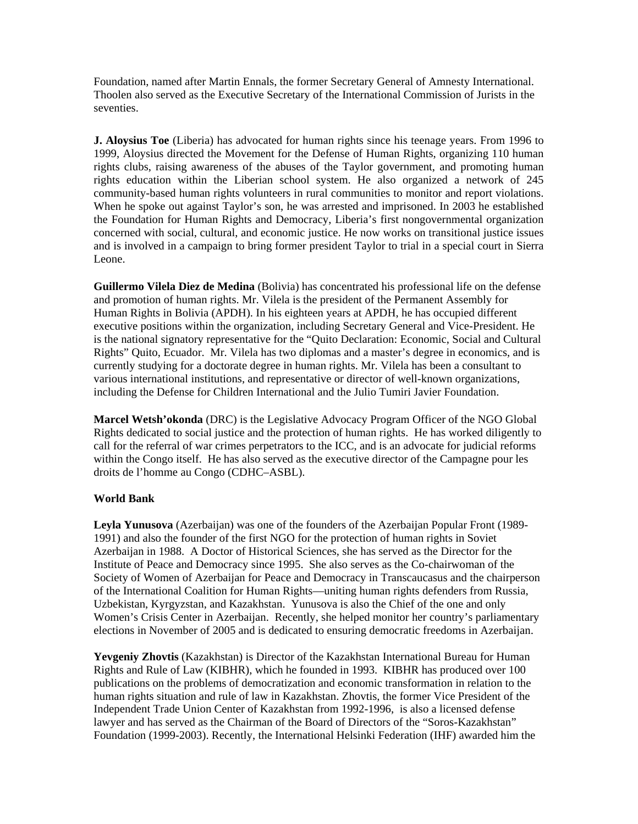Foundation, named after Martin Ennals, the former Secretary General of Amnesty International. Thoolen also served as the Executive Secretary of the International Commission of Jurists in the seventies.

**J. Aloysius Toe** (Liberia) has advocated for human rights since his teenage years. From 1996 to 1999, Aloysius directed the Movement for the Defense of Human Rights, organizing 110 human rights clubs, raising awareness of the abuses of the Taylor government, and promoting human rights education within the Liberian school system. He also organized a network of 245 community-based human rights volunteers in rural communities to monitor and report violations. When he spoke out against Taylor's son, he was arrested and imprisoned. In 2003 he established the Foundation for Human Rights and Democracy, Liberia's first nongovernmental organization concerned with social, cultural, and economic justice. He now works on transitional justice issues and is involved in a campaign to bring former president Taylor to trial in a special court in Sierra Leone.

**Guillermo Vilela Diez de Medina** (Bolivia) has concentrated his professional life on the defense and promotion of human rights. Mr. Vilela is the president of the Permanent Assembly for Human Rights in Bolivia (APDH). In his eighteen years at APDH, he has occupied different executive positions within the organization, including Secretary General and Vice-President. He is the national signatory representative for the "Quito Declaration: Economic, Social and Cultural Rights" Quito, Ecuador. Mr. Vilela has two diplomas and a master's degree in economics, and is currently studying for a doctorate degree in human rights. Mr. Vilela has been a consultant to various international institutions, and representative or director of well-known organizations, including the Defense for Children International and the Julio Tumiri Javier Foundation.

**Marcel Wetsh'okonda** (DRC) is the Legislative Advocacy Program Officer of the NGO Global Rights dedicated to social justice and the protection of human rights. He has worked diligently to call for the referral of war crimes perpetrators to the ICC, and is an advocate for judicial reforms within the Congo itself. He has also served as the executive director of the Campagne pour les droits de l'homme au Congo (CDHC–ASBL).

## **World Bank**

**Leyla Yunusova** (Azerbaijan) was one of the founders of the Azerbaijan Popular Front (1989- 1991) and also the founder of the first NGO for the protection of human rights in Soviet Azerbaijan in 1988. A Doctor of Historical Sciences, she has served as the Director for the Institute of Peace and Democracy since 1995. She also serves as the Co-chairwoman of the Society of Women of Azerbaijan for Peace and Democracy in Transcaucasus and the chairperson of the International Coalition for Human Rights—uniting human rights defenders from Russia, Uzbekistan, Kyrgyzstan, and Kazakhstan. Yunusova is also the Chief of the one and only Women's Crisis Center in Azerbaijan. Recently, she helped monitor her country's parliamentary elections in November of 2005 and is dedicated to ensuring democratic freedoms in Azerbaijan.

Yevgeniy Zhovtis *(Kazakhstan)* is Director of the Kazakhstan International Bureau for Human Rights and Rule of Law (KIBHR), which he founded in 1993. KIBHR has produced over 100 publications on the problems of democratization and economic transformation in relation to the human rights situation and rule of law in Kazakhstan. Zhovtis, the former Vice President of the Independent Trade Union Center of Kazakhstan from 1992-1996, is also a licensed defense lawyer and has served as the Chairman of the Board of Directors of the "Soros-Kazakhstan" Foundation (1999-2003). Recently, the International Helsinki Federation (IHF) awarded him the